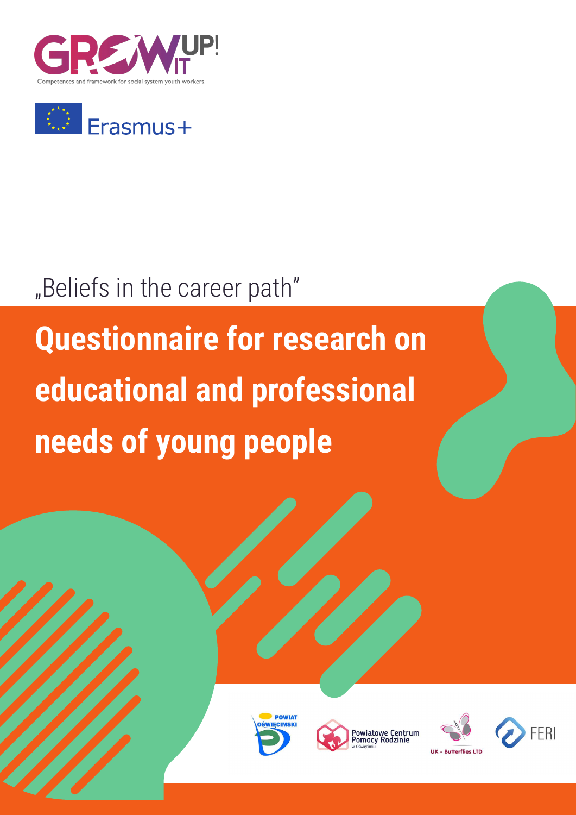



# "Beliefs in the career path"

# **Questionnaire for research on educational and professional needs of young people**







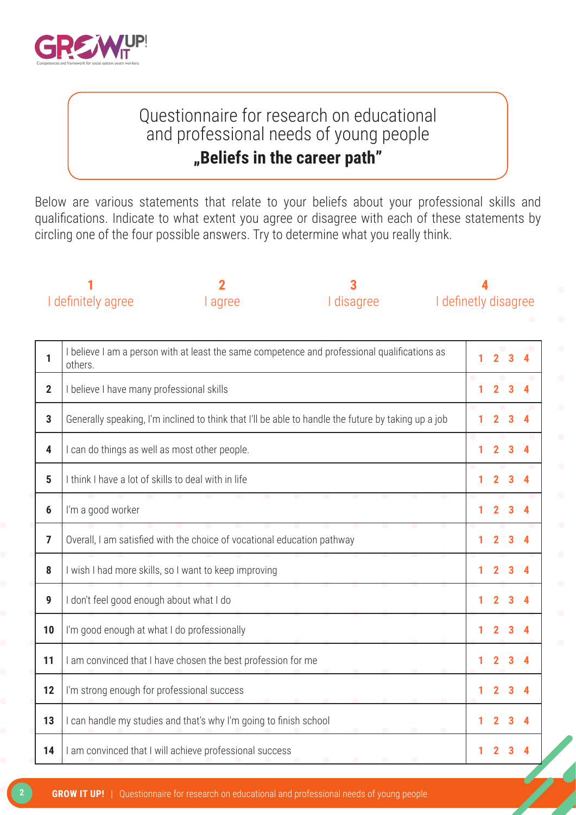

# Questionnaire for research on educational and professional needs of young people **"Beliefs in the career path"**

Below are various statements that relate to your beliefs about your professional skills and qualifications. Indicate to what extent you agree or disagree with each of these statements by circling one of the four possible answers. Try to determine what you really think.

|                 | 2<br>I definitely agree<br>I disagree<br>l agree                                                        |                                                                         |  | I definetly disagree |        |                |   |
|-----------------|---------------------------------------------------------------------------------------------------------|-------------------------------------------------------------------------|--|----------------------|--------|----------------|---|
| 1               | I believe I am a person with at least the same competence and professional qualifications as<br>others. |                                                                         |  |                      | 2      | $\overline{3}$ | 4 |
| $\mathbf{2}$    | I believe I have many professional skills                                                               |                                                                         |  |                      |        |                |   |
| $\overline{3}$  | Generally speaking, I'm inclined to think that I'll be able to handle the future by taking up a job     |                                                                         |  |                      | 2      | з              |   |
| 4               | I can do things as well as most other people.                                                           |                                                                         |  |                      |        | 3              |   |
| $5\phantom{.0}$ | I think I have a lot of skills to deal with in life                                                     |                                                                         |  |                      |        |                |   |
| $6\phantom{1}$  | I'm a good worker                                                                                       |                                                                         |  |                      | 1<br>2 | 3              |   |
| $\overline{7}$  |                                                                                                         | Overall, I am satisfied with the choice of vocational education pathway |  |                      |        |                |   |
| 8               |                                                                                                         | I wish I had more skills, so I want to keep improving                   |  |                      |        |                |   |
| 9               | I don't feel good enough about what I do                                                                |                                                                         |  |                      |        |                |   |
| 10              | I'm good enough at what I do professionally                                                             |                                                                         |  |                      | 1<br>2 |                |   |
| 11              |                                                                                                         | I am convinced that I have chosen the best profession for me            |  |                      |        |                |   |
| 12              | I'm strong enough for professional success                                                              |                                                                         |  |                      |        |                |   |
| 13              |                                                                                                         | I can handle my studies and that's why I'm going to finish school       |  |                      |        | 3              |   |
| 14              |                                                                                                         | I am convinced that I will achieve professional success                 |  |                      |        |                |   |